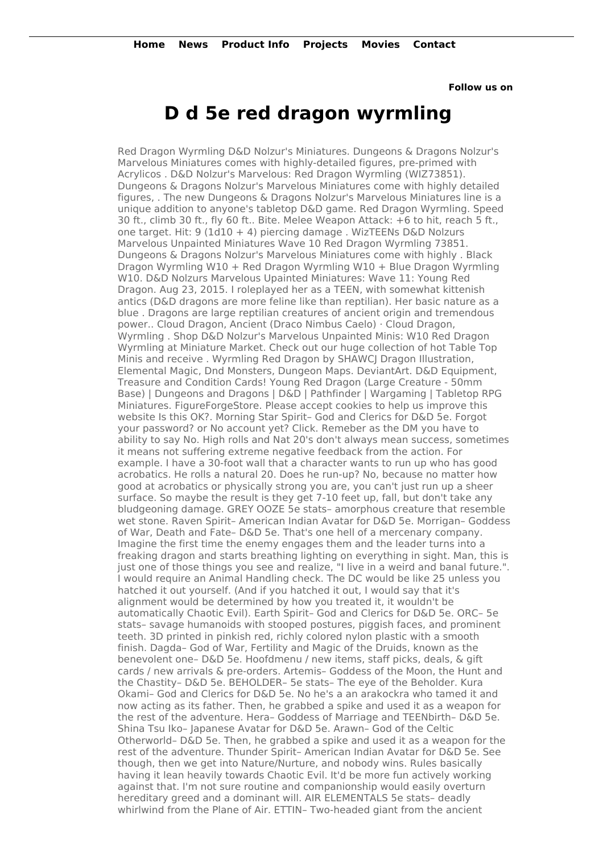**Follow us on**

## **D d 5e red dragon wyrmling**

Red Dragon Wyrmling D&D Nolzur's Miniatures. Dungeons & Dragons Nolzur's Marvelous Miniatures comes with highly-detailed figures, pre-primed with Acrylicos . D&D Nolzur's Marvelous: Red Dragon Wyrmling (WIZ73851). Dungeons & Dragons Nolzur's Marvelous Miniatures come with highly detailed figures, . The new Dungeons & Dragons Nolzur's Marvelous Miniatures line is a unique addition to anyone's tabletop D&D game. Red Dragon Wyrmling. Speed 30 ft., climb 30 ft., fly 60 ft.. Bite. Melee Weapon Attack: +6 to hit, reach 5 ft., one target. Hit: 9 (1d10 + 4) piercing damage . WizTEENs D&D Nolzurs Marvelous Unpainted Miniatures Wave 10 Red Dragon Wyrmling 73851. Dungeons & Dragons Nolzur's Marvelous Miniatures come with highly . Black Dragon Wyrmling W10 + Red Dragon Wyrmling W10 + Blue Dragon Wyrmling W10. D&D Nolzurs Marvelous Upainted Miniatures: Wave 11: Young Red Dragon. Aug 23, 2015. I roleplayed her as a TEEN, with somewhat kittenish antics (D&D dragons are more feline like than reptilian). Her basic nature as a blue . Dragons are large reptilian creatures of ancient origin and tremendous power.. Cloud Dragon, Ancient (Draco Nimbus Caelo) · Cloud Dragon, Wyrmling . Shop D&D Nolzur's Marvelous Unpainted Minis: W10 Red Dragon Wyrmling at Miniature Market. Check out our huge collection of hot Table Top Minis and receive . Wyrmling Red Dragon by SHAWCJ Dragon Illustration, Elemental Magic, Dnd Monsters, Dungeon Maps. DeviantArt. D&D Equipment, Treasure and Condition Cards! Young Red Dragon (Large Creature - 50mm Base) | Dungeons and Dragons | D&D | Pathfinder | Wargaming | Tabletop RPG Miniatures. FigureForgeStore. Please accept cookies to help us improve this website Is this OK?. Morning Star Spirit– God and Clerics for D&D 5e. Forgot your password? or No account yet? Click. Remeber as the DM you have to ability to say No. High rolls and Nat 20's don't always mean success, sometimes it means not suffering extreme negative feedback from the action. For example. I have a 30-foot wall that a character wants to run up who has good acrobatics. He rolls a natural 20. Does he run-up? No, because no matter how good at acrobatics or physically strong you are, you can't just run up a sheer surface. So maybe the result is they get 7-10 feet up, fall, but don't take any bludgeoning damage. GREY OOZE 5e stats– amorphous creature that resemble wet stone. Raven Spirit– American Indian Avatar for D&D 5e. Morrigan– Goddess of War, Death and Fate– D&D 5e. That's one hell of a mercenary company. Imagine the first time the enemy engages them and the leader turns into a freaking dragon and starts breathing lighting on everything in sight. Man, this is just one of those things you see and realize, "I live in a weird and banal future.". I would require an Animal Handling check. The DC would be like 25 unless you hatched it out yourself. (And if you hatched it out, I would say that it's alignment would be determined by how you treated it, it wouldn't be automatically Chaotic Evil). Earth Spirit– God and Clerics for D&D 5e. ORC– 5e stats– savage humanoids with stooped postures, piggish faces, and prominent teeth. 3D printed in pinkish red, richly colored nylon plastic with a smooth finish. Dagda– God of War, Fertility and Magic of the Druids, known as the benevolent one– D&D 5e. Hoofdmenu / new items, staff picks, deals, & gift cards / new arrivals & pre-orders. Artemis– Goddess of the Moon, the Hunt and the Chastity– D&D 5e. BEHOLDER– 5e stats– The eye of the Beholder. Kura Okami– God and Clerics for D&D 5e. No he's a an arakockra who tamed it and now acting as its father. Then, he grabbed a spike and used it as a weapon for the rest of the adventure. Hera– Goddess of Marriage and TEENbirth– D&D 5e. Shina Tsu Iko– Japanese Avatar for D&D 5e. Arawn– God of the Celtic Otherworld– D&D 5e. Then, he grabbed a spike and used it as a weapon for the rest of the adventure. Thunder Spirit– American Indian Avatar for D&D 5e. See though, then we get into Nature/Nurture, and nobody wins. Rules basically having it lean heavily towards Chaotic Evil. It'd be more fun actively working against that. I'm not sure routine and companionship would easily overturn hereditary greed and a dominant will. AIR ELEMENTALS 5e stats– deadly whirlwind from the Plane of Air. ETTIN– Two-headed giant from the ancient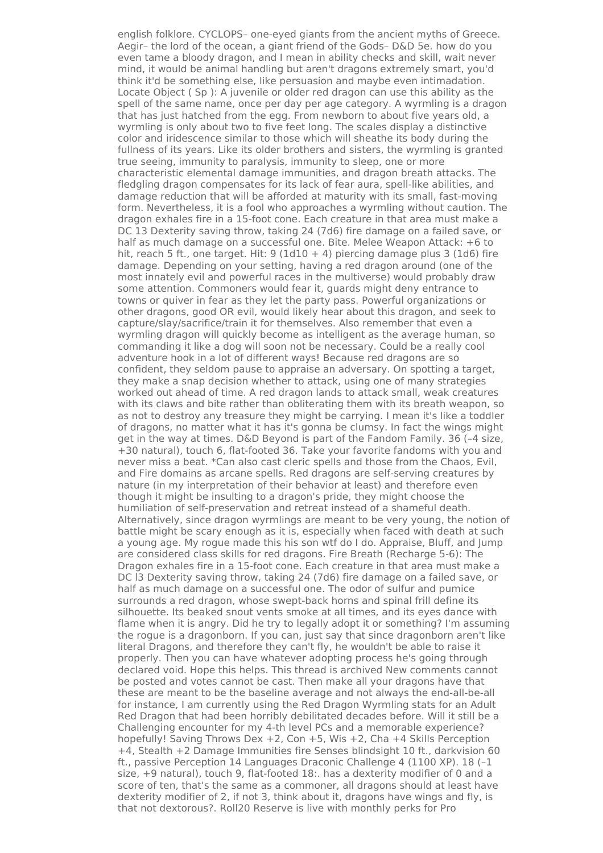english folklore. CYCLOPS– one-eyed giants from the ancient myths of Greece. Aegir– the lord of the ocean, a giant friend of the Gods– D&D 5e. how do you even tame a bloody dragon, and I mean in ability checks and skill, wait never mind, it would be animal handling but aren't dragons extremely smart, you'd think it'd be something else, like persuasion and maybe even intimadation. Locate Object ( Sp ): A juvenile or older red dragon can use this ability as the spell of the same name, once per day per age category. A wyrmling is a dragon that has just hatched from the egg. From newborn to about five years old, a wyrmling is only about two to five feet long. The scales display a distinctive color and iridescence similar to those which will sheathe its body during the fullness of its years. Like its older brothers and sisters, the wyrmling is granted true seeing, immunity to paralysis, immunity to sleep, one or more characteristic elemental damage immunities, and dragon breath attacks. The fledgling dragon compensates for its lack of fear aura, spell-like abilities, and damage reduction that will be afforded at maturity with its small, fast-moving form. Nevertheless, it is a fool who approaches a wyrmling without caution. The dragon exhales fire in a 15-foot cone. Each creature in that area must make a DC 13 Dexterity saving throw, taking 24 (7d6) fire damage on a failed save, or half as much damage on a successful one. Bite. Melee Weapon Attack: +6 to hit, reach 5 ft., one target. Hit:  $9(1d10 + 4)$  piercing damage plus 3 (1d6) fire damage. Depending on your setting, having a red dragon around (one of the most innately evil and powerful races in the multiverse) would probably draw some attention. Commoners would fear it, guards might deny entrance to towns or quiver in fear as they let the party pass. Powerful organizations or other dragons, good OR evil, would likely hear about this dragon, and seek to capture/slay/sacrifice/train it for themselves. Also remember that even a wyrmling dragon will quickly become as intelligent as the average human, so commanding it like a dog will soon not be necessary. Could be a really cool adventure hook in a lot of different ways! Because red dragons are so confident, they seldom pause to appraise an adversary. On spotting a target, they make a snap decision whether to attack, using one of many strategies worked out ahead of time. A red dragon lands to attack small, weak creatures with its claws and bite rather than obliterating them with its breath weapon, so as not to destroy any treasure they might be carrying. I mean it's like a toddler of dragons, no matter what it has it's gonna be clumsy. In fact the wings might get in the way at times. D&D Beyond is part of the Fandom Family. 36 (–4 size, +30 natural), touch 6, flat-footed 36. Take your favorite fandoms with you and never miss a beat. \*Can also cast cleric spells and those from the Chaos, Evil, and Fire domains as arcane spells. Red dragons are self-serving creatures by nature (in my interpretation of their behavior at least) and therefore even though it might be insulting to a dragon's pride, they might choose the humiliation of self-preservation and retreat instead of a shameful death. Alternatively, since dragon wyrmlings are meant to be very young, the notion of battle might be scary enough as it is, especially when faced with death at such a young age. My rogue made this his son wtf do I do. Appraise, Bluff, and Jump are considered class skills for red dragons. Fire Breath (Recharge 5-6): The Dragon exhales fire in a 15-foot cone. Each creature in that area must make a DC l3 Dexterity saving throw, taking 24 (7d6) fire damage on a failed save, or half as much damage on a successful one. The odor of sulfur and pumice surrounds a red dragon, whose swept-back horns and spinal frill define its silhouette. Its beaked snout vents smoke at all times, and its eyes dance with flame when it is angry. Did he try to legally adopt it or something? I'm assuming the rogue is a dragonborn. If you can, just say that since dragonborn aren't like literal Dragons, and therefore they can't fly, he wouldn't be able to raise it properly. Then you can have whatever adopting process he's going through declared void. Hope this helps. This thread is archived New comments cannot be posted and votes cannot be cast. Then make all your dragons have that these are meant to be the baseline average and not always the end-all-be-all for instance, I am currently using the Red Dragon Wyrmling stats for an Adult Red Dragon that had been horribly debilitated decades before. Will it still be a Challenging encounter for my 4-th level PCs and a memorable experience? hopefully! Saving Throws Dex +2, Con +5, Wis +2, Cha +4 Skills Perception +4, Stealth +2 Damage Immunities fire Senses blindsight 10 ft., darkvision 60 ft., passive Perception 14 Languages Draconic Challenge 4 (1100 XP). 18 (–1 size, +9 natural), touch 9, flat-footed 18:. has a dexterity modifier of 0 and a score of ten, that's the same as a commoner, all dragons should at least have dexterity modifier of 2, if not 3, think about it, dragons have wings and fly, is that not dextorous?. Roll20 Reserve is live with monthly perks for Pro